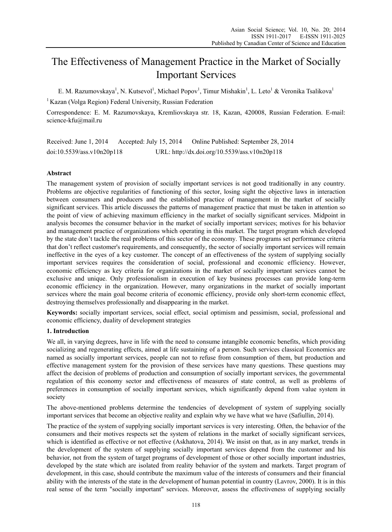# The Effectiveness of Management Practice in the Market of Socially Important Services

E. M. Razumovskaya<sup>1</sup>, N. Kutsevol<sup>1</sup>, Michael Popov<sup>1</sup>, Timur Mishakin<sup>1</sup>, L. Leto<sup>1</sup> & Veronika Tsalikova<sup>1</sup>

<sup>1</sup> Kazan (Volga Region) Federal University, Russian Federation

Correspondence: E. M. Razumovskaya, Kremliovskaya str. 18, Kazan, 420008, Russian Federation. E-mail: science-kfu@mail.ru

Received: June 1, 2014 Accepted: July 15, 2014 Online Published: September 28, 2014 doi:10.5539/ass.v10n20p118 URL: http://dx.doi.org/10.5539/ass.v10n20p118

# **Abstract**

The management system of provision of socially important services is not good traditionally in any country. Problems are objective regularities of functioning of this sector, losing sight the objective laws in interaction between consumers and producers and the established practice of management in the market of socially significant services. This article discusses the patterns of management practice that must be taken in attention so the point of view of achieving maximum efficiency in the market of socially significant services. Midpoint in analysis becomes the consumer behavior in the market of socially important services; motives for his behavior and management practice of organizations which operating in this market. The target program which developed by the state don't tackle the real problems of this sector of the economy. These programs set performance criteria that don't reflect customer's requirements, and consequently, the sector of socially important services will remain ineffective in the eyes of a key customer. The concept of an effectiveness of the system of supplying socially important services requires the consideration of social, professional and economic efficiency. However, economic efficiency as key criteria for organizations in the market of socially important services cannot be exclusive and unique. Only professionalism in execution of key business processes can provide long-term economic efficiency in the organization. However, many organizations in the market of socially important services where the main goal become criteria of economic efficiency, provide only short-term economic effect, destroying themselves professionally and disappearing in the market.

**Keywords:** socially important services, social effect, social optimism and pessimism, social, professional and economic efficiency, duality of development strategies

# **1. Introduction**

We all, in varying degrees, have in life with the need to consume intangible economic benefits, which providing socializing and regenerating effects, aimed at life sustaining of a person. Such services classical Economics are named as socially important services, people can not to refuse from consumption of them, but production and effective management system for the provision of these services have many questions. These questions may affect the decision of problems of production and consumption of socially important services, the governmental regulation of this economy sector and effectiveness of measures of state control, as well as problems of preferences in consumption of socially important services, which significantly depend from value system in society

The above-mentioned problems determine the tendencies of development of system of supplying socially important services that become an objective reality and explain why we have what we have (Safiullin, 2014).

The practice of the system of supplying socially important services is very interesting. Often, the behavior of the consumers and their motives respects set the system of relations in the market of socially significant services, which is identified as effective or not effective (Askhatova, 2014). We insist on that, as in any market, trends in the development of the system of supplying socially important services depend from the customer and his behavior, not from the system of target programs of development of those or other socially important industries, developed by the state which are isolated from reality behavior of the system and markets. Target program of development, in this case, should contribute the maximum value of the interests of consumers and their financial ability with the interests of the state in the development of human potential in country (Lavrov, 2000). It is in this real sense of the term "socially important" services. Moreover, assess the effectiveness of supplying socially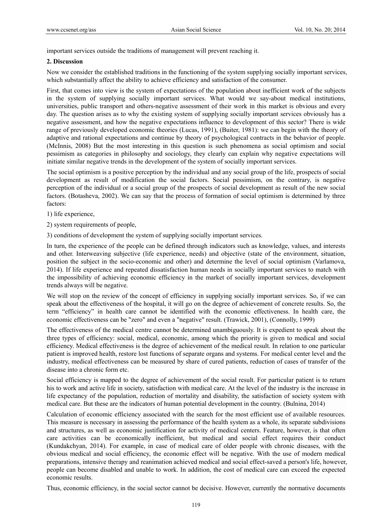important services outside the traditions of management will prevent reaching it.

#### **2. Discussion**

Now we consider the established traditions in the functioning of the system supplying socially important services, which substantially affect the ability to achieve efficiency and satisfaction of the consumer.

First, that comes into view is the system of expectations of the population about inefficient work of the subjects in the system of supplying socially important services. What would we say-about medical institutions, universities, public transport and others-negative assessment of their work in this market is obvious and every day. The question arises as to why the existing system of supplying socially important services obviously has a negative assessment, and how the negative expectations influence to development of this sector? There is wide range of previously developed economic theories (Lucas, 1991), (Buiter, 1981): we can begin with the theory of adaptive and rational expectations and continue by theory of psychological contracts in the behavior of people. (McInnis, 2008) But the most interesting in this question is such phenomena as social optimism and social pessimism as categories in philosophy and sociology, they clearly can explain why negative expectations will initiate similar negative trends in the development of the system of socially important services.

The social optimism is a positive perception by the individual and any social group of the life, prospects of social development as result of modification the social factors. Social pessimism, on the contrary, is negative perception of the individual or a social group of the prospects of social development as result of the new social factors. (Botasheva, 2002). We can say that the process of formation of social optimism is determined by three factors:

1) life experience,

2) system requirements of people,

3) conditions of development the system of supplying socially important services.

In turn, the experience of the people can be defined through indicators such as knowledge, values, and interests and other. Interweaving subjective (life experience, needs) and objective (state of the environment, situation, position the subject in the socio-economic and other) and determine the level of social optimism (Varlamova, 2014). If life experience and repeated dissatisfaction human needs in socially important services to match with the impossibility of achieving economic efficiency in the market of socially important services, development trends always will be negative.

We will stop on the review of the concept of efficiency in supplying socially important services. So, if we can speak about the effectiveness of the hospital, it will go on the degree of achievement of concrete results. So, the term "efficiency" in health care cannot be identified with the economic effectiveness. In health care, the economic effectiveness can be "zero" and even a "negative" result. (Trawick, 2001), (Connolly, 1999)

The effectiveness of the medical centre cannot be determined unambiguously. It is expedient to speak about the three types of efficiency: social, medical, economic, among which the priority is given to medical and social efficiency. Medical effectiveness is the degree of achievement of the medical result. In relation to one particular patient is improved health, restore lost functions of separate organs and systems. For medical center level and the industry, medical effectiveness can be measured by share of cured patients, reduction of cases of transfer of the disease into a chronic form etc.

Social efficiency is mapped to the degree of achievement of the social result. For particular patient is to return his to work and active life in society, satisfaction with medical care. At the level of the industry is the increase in life expectancy of the population, reduction of mortality and disability, the satisfaction of society system with medical care. But these are the indicators of human potential development in the country. (Bulnina, 2014)

Calculation of economic efficiency associated with the search for the most efficient use of available resources. This measure is necessary in assessing the performance of the health system as a whole, its separate subdivisions and structures, as well as economic justification for activity of medical centers. Feature, however, is that often care activities can be economically inefficient, but medical and social effect requires their conduct (Kundakchyan, 2014). For example, in case of medical care of older people with chronic diseases, with the obvious medical and social efficiency, the economic effect will be negative. With the use of modern medical preparations, intensive therapy and reanimation achieved medical and social effect-saved a person's life, however, people can become disabled and unable to work. In addition, the cost of medical care can exceed the expected economic results.

Thus, economic efficiency, in the social sector cannot be decisive. However, currently the normative documents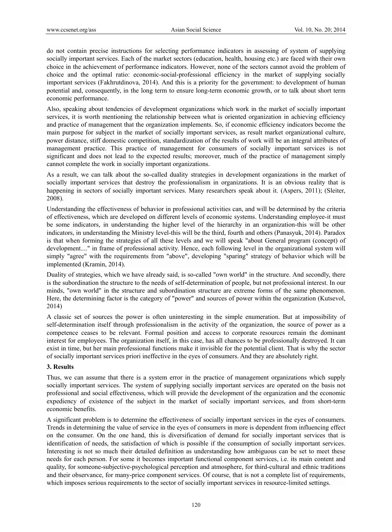do not contain precise instructions for selecting performance indicators in assessing of system of supplying socially important services. Each of the market sectors (education, health, housing etc.) are faced with their own choice in the achievement of performance indicators. However, none of the sectors cannot avoid the problem of choice and the optimal ratio: economic-social-professional efficiency in the market of supplying socially important services (Fakhrutdinova, 2014). And this is a priority for the government: to development of human potential and, consequently, in the long term to ensure long-term economic growth, or to talk about short term economic performance.

Also, speaking about tendencies of development organizations which work in the market of socially important services, it is worth mentioning the relationship between what is oriented organization in achieving efficiency and practice of management that the organization implements. So, if economic efficiency indicators become the main purpose for subject in the market of socially important services, as result market organizational culture, power distance, stiff domestic competition, standardization of the results of work will be an integral attributes of management practice. This practice of management for consumers of socially important services is not significant and does not lead to the expected results; moreover, much of the practice of management simply cannot complete the work in socially important organizations.

As a result, we can talk about the so-called duality strategies in development organizations in the market of socially important services that destroy the professionalism in organizations. It is an obvious reality that is happening in sectors of socially important services. Many researchers speak about it. (Aspers, 2011); (Sleiter, 2008).

Understanding the effectiveness of behavior in professional activities can, and will be determined by the criteria of effectiveness, which are developed on different levels of economic systems. Understanding employee-it must be some indicators, in understanding the higher level of the hierarchy in an organization-this will be other indicators, in understanding the Ministry level-this will be the third, fourth and others (Panasyuk, 2014). Paradox is that when forming the strategies of all these levels and we will speak "about General program (concept) of development...." in frame of professional activity. Hence, each following level in the organizational system will simply "agree" with the requirements from "above", developing "sparing" strategy of behavior which will be implemented (Kramin, 2014).

Duality of strategies, which we have already said, is so-called "own world" in the structure. And secondly, there is the subordination the structure to the needs of self-determination of people, but not professional interest. In our minds, "own world" in the structure and subordination structure are extreme forms of the same phenomenon. Here, the determining factor is the category of "power" and sources of power within the organization (Kutsevol, 2014)

A classic set of sources the power is often uninteresting in the simple enumeration. But at impossibility of self-determination itself through professionalism in the activity of the organization, the source of power as a competence ceases to be relevant. Formal position and access to corporate resources remain the dominant interest for employees. The organization itself, in this case, has all chances to be professionally destroyed. It can exist in time, but her main professional functions make it invisible for the potential client. That is why the sector of socially important services priori ineffective in the eyes of consumers. And they are absolutely right.

### **3. Results**

Thus, we can assume that there is a system error in the practice of management organizations which supply socially important services. The system of supplying socially important services are operated on the basis not professional and social effectiveness, which will provide the development of the organization and the economic expediency of existence of the subject in the market of socially important services, and from short-term economic benefits.

A significant problem is to determine the effectiveness of socially important services in the eyes of consumers. Trends in determining the value of service in the eyes of consumers in more is dependent from influencing effect on the consumer. On the one hand, this is diversification of demand for socially important services that is identification of needs, the satisfaction of which is possible if the consumption of socially important services. Interesting is not so much their detailed definition as understanding how ambiguous can be set to meet these needs for each person. For some it becomes important functional component services, i.e. its main content and quality, for someone-subjective-psychological perception and atmosphere, for third-cultural and ethnic traditions and their observance, for many-price component services. Of course, that is not a complete list of requirements, which imposes serious requirements to the sector of socially important services in resource-limited settings.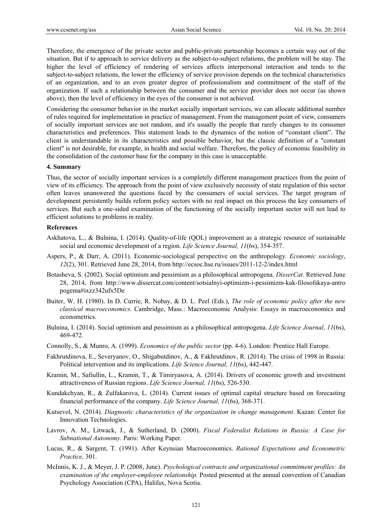Therefore, the emergence of the private sector and public-private partnership becomes a certain way out of the situation. But if to approach to service delivery as the subject-to-subject relations, the problem will be stay. The higher the level of efficiency of rendering of services affects interpersonal interaction and tends to the subject-to-subject relations, the lower the efficiency of service provision depends on the technical characteristics of an organization, and to an even greater degree of professionalism and commitment of the staff of the organization. If such a relationship between the consumer and the service provider does not occur (as shown above), then the level of efficiency in the eyes of the consumer is not achieved.

Considering the consumer behavior in the market socially important services, we can allocate additional number of rules required for implementation in practice of management. From the management point of view, consumers of socially important services are not random, and it's usually the people that rarely changes to its consumer characteristics and preferences. This statement leads to the dynamics of the notion of "constant client". The client is understandable in its characteristics and possible behavior, but the classic definition of a "constant client" is not desirable, for example, in health and social welfare. Therefore, the policy of economic feasibility in the consolidation of the customer base for the company in this case is unacceptable.

#### **4. Summary**

Thus, the sector of socially important services is a completely different management practices from the point of view of its efficiency. The approach from the point of view exclusively necessity of state regulation of this sector often leaves unanswered the questions faced by the consumers of social services. The target program of development persistently builds reform policy sectors with no real impact on this process the key consumers of services. But such a one-sided examination of the functioning of the socially important sector will not lead to efficient solutions to problems in reality.

#### **References**

- Askhatova, L., & Bulnina, I. (2014). Quality-of-life (QOL) improvement as a strategic resource of sustainable social and economic development of a region. *Life Science Journal, 11*(6s), 354-357.
- Aspers, P., & Darr, A. (2011). Economic-sociological perspective on the anthropology. *Economic sociology*, *12*(2), 301. Retrieved June 28, 2014, from http://ecsoc.hse.ru/issues/2011-12-2/index.html
- Botasheva, S. (2002). Social optimism and pessimism as a philosophical antropogena. *DisserCat*. Retrieved June 28, 2014, from http://www.dissercat.com/content/sotsialnyi-optimizm-i-pessimizm-kak-filosofskaya-antro pogema#ixzz342ufx5De
- Buiter, W. H. (1980). In D. Currie, R. Nobay, & D. L. Peel (Eds.), *The role of economic policy after the new classical macroeconomics*. Cambridge, Mass.: Macroeconomic Analysis: Essays in macroeconomics and econometrics.
- Bulnina, I. (2014). Social optimism and pessimism as a philosophical antropogena. *Life Science Journal*, *11*(6s), 469-472.
- Connolly, S., & Munro, A. (1999). *Economics of the public sector* (pp. 4-6). London: Prentice Hall Europe.
- Fakhrutdinova, E., Severyanov, O., Shigabutdinov, A., & Fakhrutdinov, R. (2014). The crisis of 1998 in Russia: Political intervention and its implications. *Life Science Journal, 11*(6s), 442-447.
- Kramin, M., Safiullin, L., Kramin, T., & Timiryasova, A. (2014). Drivers of economic growth and investment attractiveness of Russian regions. *Life Science Journal, 11*(6s), 526-530.
- Kundakchyan, R., & Zulfakarova, L. (2014). Current issues of optimal capital structure based on forecasting financial performance of the company. *Life Science Journal, 11*(6s), 368-371.
- Kutsevol, N. (2014). *Diagnostic characteristics of the organization in change management*. Kazan: Center for Innovation Technologies.
- Lavrov, A. M., Litwack, J., & Sutherland, D. (2000). *Fiscal Federalist Relations in Russia: A Case for Subnational Autonomy*. Paris: Working Paper.
- Lucas, R., & Sargent, Т. (1991). After Keynsian Macroeconomics. *Rational Expectations and Econometric Practice,* 301.
- McInnis, K. J., & Meyer, J. P. (2008, June). *Psychological contracts and organizational commitment profiles: An examination of the employer-employee relationship.* Posted presented at the annual convention of Canadian Psychology Association (CPA), Halifax, Nova Scotia.